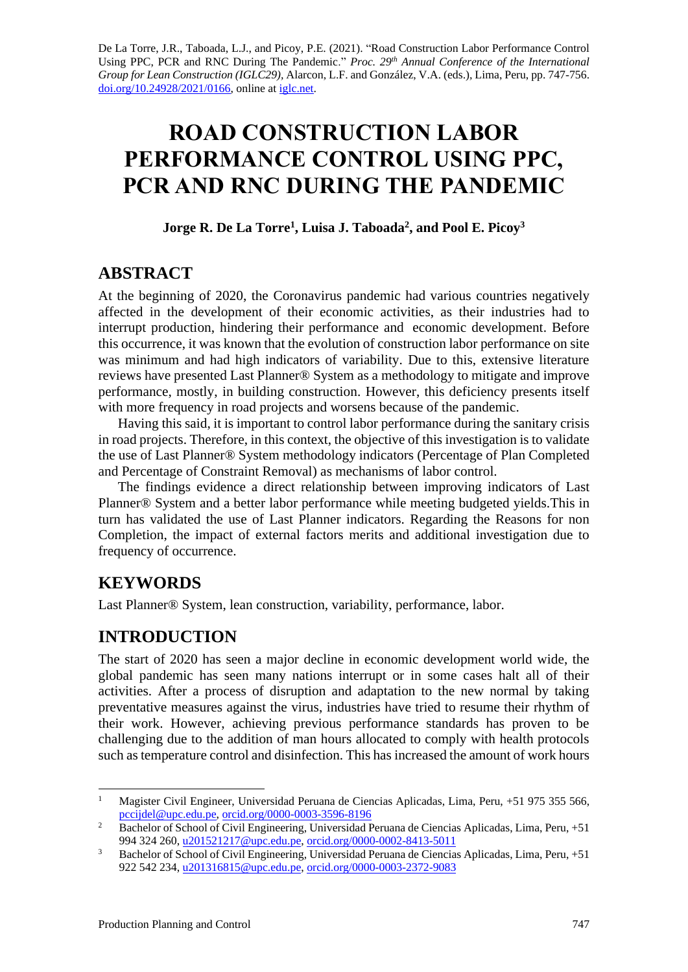De La Torre, J.R., Taboada, L.J., and Picoy, P.E. (2021). "Road Construction Labor Performance Control Using PPC, PCR and RNC During The Pandemic." *Proc. 29<sup>th</sup>* Annual Conference of the International *Group for Lean Construction (IGLC29),* Alarcon, L.F. and González, V.A. (eds.)*,* Lima, Peru, pp. 747-756. [doi.org/10.24928/2021/0166,](https://doi.org/10.24928/2021/0166) online a[t iglc.net.](http://iglc.net/)

# **ROAD CONSTRUCTION LABOR PERFORMANCE CONTROL USING PPC, PCR AND RNC DURING THE PANDEMIC**

**Jorge R. De La Torre<sup>1</sup> , Luisa J. Taboada<sup>2</sup> , and Pool E. Picoy<sup>3</sup>**

## **ABSTRACT**

At the beginning of 2020, the Coronavirus pandemic had various countries negatively affected in the development of their economic activities, as their industries had to interrupt production, hindering their performance and economic development. Before this occurrence, it was known that the evolution of construction labor performance on site was minimum and had high indicators of variability. Due to this, extensive literature reviews have presented Last Planner® System as a methodology to mitigate and improve performance, mostly, in building construction. However, this deficiency presents itself with more frequency in road projects and worsens because of the pandemic.

Having this said, it is important to control labor performance during the sanitary crisis in road projects. Therefore, in this context, the objective of this investigation is to validate the use of Last Planner® System methodology indicators (Percentage of Plan Completed and Percentage of Constraint Removal) as mechanisms of labor control.

The findings evidence a direct relationship between improving indicators of Last Planner® System and a better labor performance while meeting budgeted yields.This in turn has validated the use of Last Planner indicators. Regarding the Reasons for non Completion, the impact of external factors merits and additional investigation due to frequency of occurrence.

# **KEYWORDS**

Last Planner® System, lean construction, variability, performance, labor.

# **INTRODUCTION**

The start of 2020 has seen a major decline in economic development world wide, the global pandemic has seen many nations interrupt or in some cases halt all of their activities. After a process of disruption and adaptation to the new normal by taking preventative measures against the virus, industries have tried to resume their rhythm of their work. However, achieving previous performance standards has proven to be challenging due to the addition of man hours allocated to comply with health protocols such as temperature control and disinfection. This has increased the amount of work hours

<sup>&</sup>lt;sup>1</sup> Magister Civil Engineer, Universidad Peruana de Ciencias Aplicadas, Lima, Peru, +51 975 355 566, [pccijdel@upc.edu.pe,](mailto:pccijdel@upc.edu.pe) [orcid.org/0000-0003-3596-8196](https://orcid.org/0000-0003-3596-8196)

<sup>&</sup>lt;sup>2</sup> Bachelor of School of Civil Engineering, Universidad Peruana de Ciencias Aplicadas, Lima, Peru, +51 994 324 260, [u201521217@upc.edu.pe,](mailto:u201521217@upc.edu.pe) [orcid.org/0000-0002-8413-5011](https://orcid.org/0000-0002-8413-5011)

<sup>&</sup>lt;sup>3</sup> Bachelor of School of Civil Engineering, Universidad Peruana de Ciencias Aplicadas, Lima, Peru, +51 922 542 234, [u201316815@upc.edu.pe,](mailto:u201316815@upc.edu.pe) [orcid.org/0000-0003-2372-9083](http://orcid.org/0000-0003-2372-9083)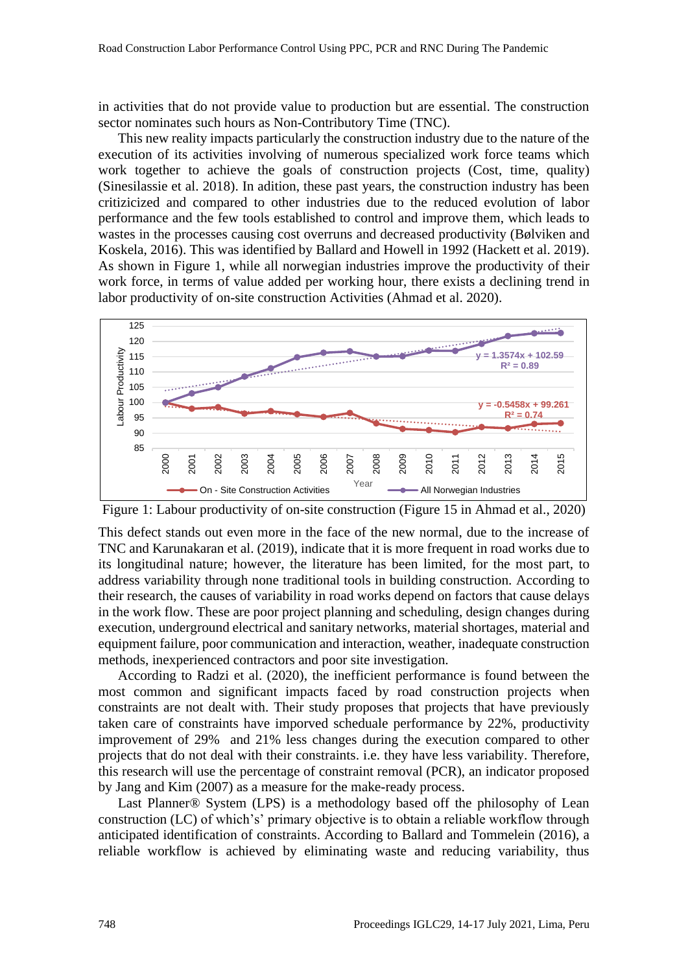in activities that do not provide value to production but are essential. The construction sector nominates such hours as Non-Contributory Time (TNC).

This new reality impacts particularly the construction industry due to the nature of the execution of its activities involving of numerous specialized work force teams which work together to achieve the goals of construction projects (Cost, time, quality) (Sinesilassie et al. 2018). In adition, these past years, the construction industry has been critizicized and compared to other industries due to the reduced evolution of labor performance and the few tools established to control and improve them, which leads to wastes in the processes causing cost overruns and decreased productivity (Bølviken and Koskela, 2016). This was identified by Ballard and Howell in 1992 (Hackett et al. 2019). As shown in Figure 1, while all norwegian industries improve the productivity of their work force, in terms of value added per working hour, there exists a declining trend in labor productivity of on-site construction Activities (Ahmad et al. 2020).



Figure 1: Labour productivity of on-site construction (Figure 15 in Ahmad et al., 2020)

This defect stands out even more in the face of the new normal, due to the increase of TNC and Karunakaran et al. (2019), indicate that it is more frequent in road works due to its longitudinal nature; however, the literature has been limited, for the most part, to address variability through none traditional tools in building construction. According to their research, the causes of variability in road works depend on factors that cause delays in the work flow. These are poor project planning and scheduling, design changes during execution, underground electrical and sanitary networks, material shortages, material and equipment failure, poor communication and interaction, weather, inadequate construction methods, inexperienced contractors and poor site investigation.

According to Radzi et al. (2020), the inefficient performance is found between the most common and significant impacts faced by road construction projects when constraints are not dealt with. Their study proposes that projects that have previously taken care of constraints have imporved scheduale performance by 22%, productivity improvement of 29% and 21% less changes during the execution compared to other projects that do not deal with their constraints. i.e. they have less variability. Therefore, this research will use the percentage of constraint removal (PCR), an indicator proposed by Jang and Kim (2007) as a measure for the make-ready process.

Last Planner® System (LPS) is a methodology based off the philosophy of Lean construction (LC) of which's' primary objective is to obtain a reliable workflow through anticipated identification of constraints. According to Ballard and Tommelein (2016), a reliable workflow is achieved by eliminating waste and reducing variability, thus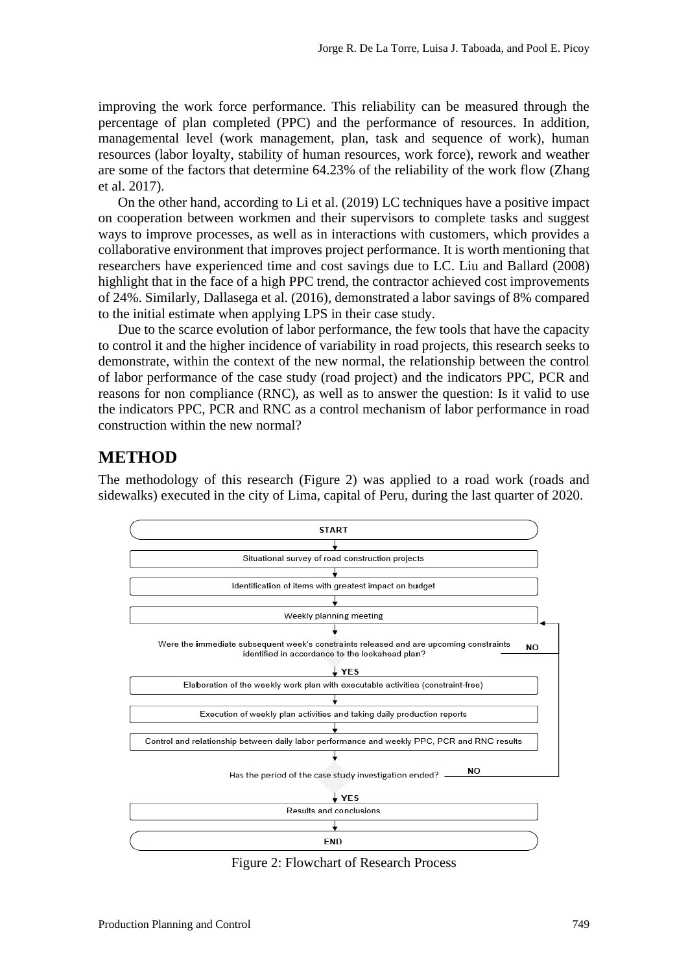improving the work force performance. This reliability can be measured through the percentage of plan completed (PPC) and the performance of resources. In addition, managemental level (work management, plan, task and sequence of work), human resources (labor loyalty, stability of human resources, work force), rework and weather are some of the factors that determine 64.23% of the reliability of the work flow (Zhang et al. 2017).

On the other hand, according to Li et al. (2019) LC techniques have a positive impact on cooperation between workmen and their supervisors to complete tasks and suggest ways to improve processes, as well as in interactions with customers, which provides a collaborative environment that improves project performance. It is worth mentioning that researchers have experienced time and cost savings due to LC. Liu and Ballard (2008) highlight that in the face of a high PPC trend, the contractor achieved cost improvements of 24%. Similarly, Dallasega et al. (2016), demonstrated a labor savings of 8% compared to the initial estimate when applying LPS in their case study.

Due to the scarce evolution of labor performance, the few tools that have the capacity to control it and the higher incidence of variability in road projects, this research seeks to demonstrate, within the context of the new normal, the relationship between the control of labor performance of the case study (road project) and the indicators PPC, PCR and reasons for non compliance (RNC), as well as to answer the question: Is it valid to use the indicators PPC, PCR and RNC as a control mechanism of labor performance in road construction within the new normal?

### **METHOD**

The methodology of this research (Figure 2) was applied to a road work (roads and sidewalks) executed in the city of Lima, capital of Peru, during the last quarter of 2020.



Figure 2: Flowchart of Research Process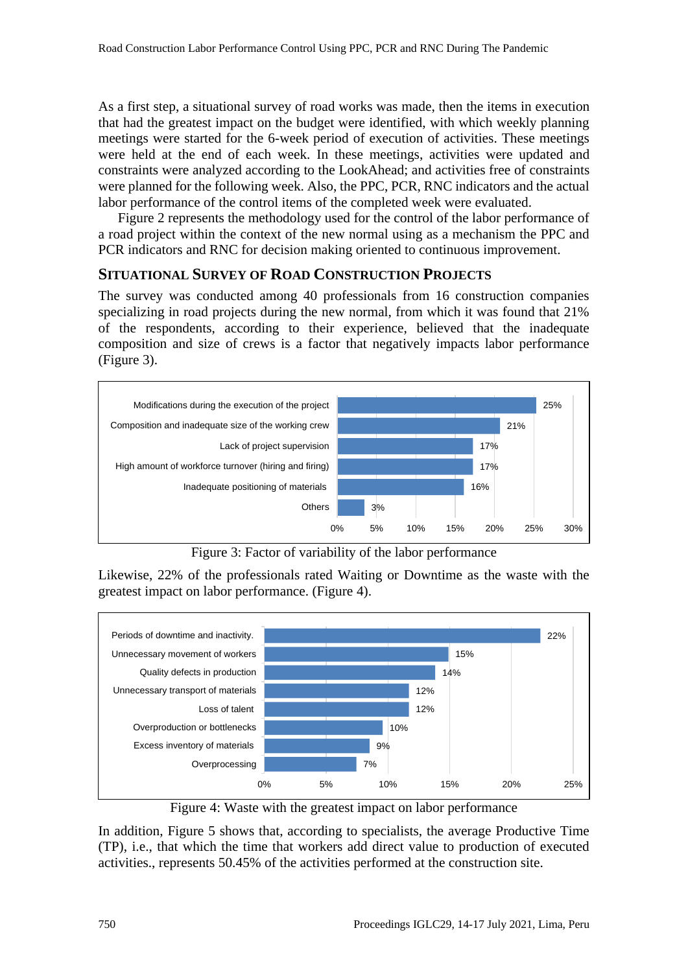As a first step, a situational survey of road works was made, then the items in execution that had the greatest impact on the budget were identified, with which weekly planning meetings were started for the 6-week period of execution of activities. These meetings were held at the end of each week. In these meetings, activities were updated and constraints were analyzed according to the LookAhead; and activities free of constraints were planned for the following week. Also, the PPC, PCR, RNC indicators and the actual labor performance of the control items of the completed week were evaluated.

Figure 2 represents the methodology used for the control of the labor performance of a road project within the context of the new normal using as a mechanism the PPC and PCR indicators and RNC for decision making oriented to continuous improvement.

#### **SITUATIONAL SURVEY OF ROAD CONSTRUCTION PROJECTS**

The survey was conducted among 40 professionals from 16 construction companies specializing in road projects during the new normal, from which it was found that 21% of the respondents, according to their experience, believed that the inadequate composition and size of crews is a factor that negatively impacts labor performance (Figure 3).



Figure 3: Factor of variability of the labor performance

Likewise, 22% of the professionals rated Waiting or Downtime as the waste with the greatest impact on labor performance. (Figure 4).



Figure 4: Waste with the greatest impact on labor performance

In addition, Figure 5 shows that, according to specialists, the average Productive Time (TP), i.e., that which the time that workers add direct value to production of executed activities., represents 50.45% of the activities performed at the construction site.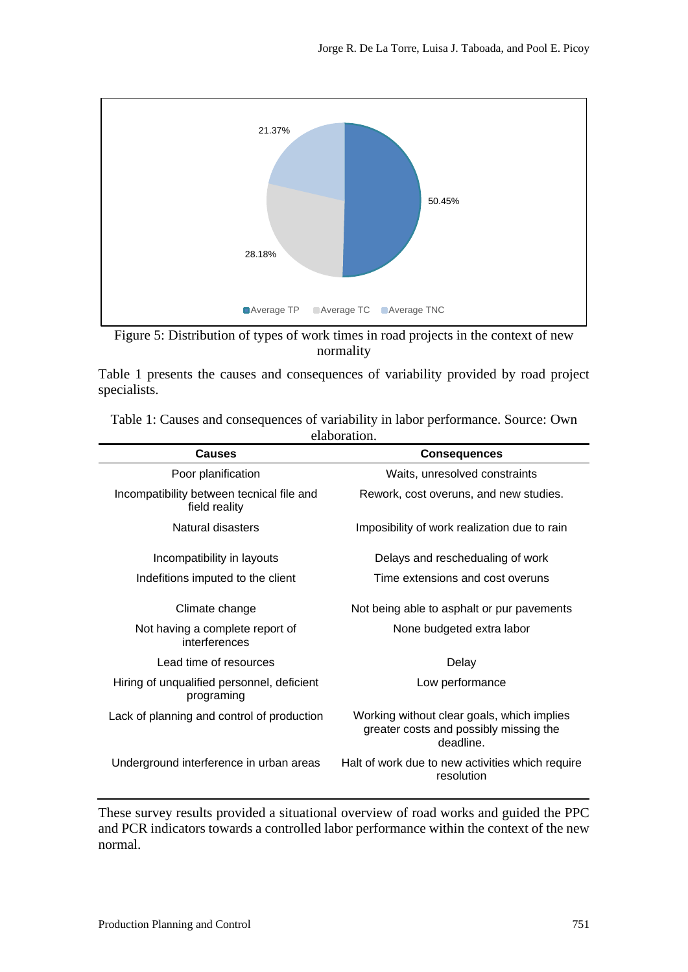



Table 1 presents the causes and consequences of variability provided by road project specialists.

| 0.000 UU 0.000 UU                                          |                                                                                                  |  |  |  |  |  |  |  |
|------------------------------------------------------------|--------------------------------------------------------------------------------------------------|--|--|--|--|--|--|--|
| <b>Causes</b>                                              | <b>Consequences</b>                                                                              |  |  |  |  |  |  |  |
| Poor planification                                         | Waits, unresolved constraints                                                                    |  |  |  |  |  |  |  |
| Incompatibility between tecnical file and<br>field reality | Rework, cost overuns, and new studies.                                                           |  |  |  |  |  |  |  |
| Natural disasters                                          | Imposibility of work realization due to rain                                                     |  |  |  |  |  |  |  |
| Incompatibility in layouts                                 | Delays and reschedualing of work                                                                 |  |  |  |  |  |  |  |
| Indefitions imputed to the client                          | Time extensions and cost overuns                                                                 |  |  |  |  |  |  |  |
| Climate change                                             | Not being able to asphalt or pur pavements                                                       |  |  |  |  |  |  |  |
| Not having a complete report of<br>interferences           | None budgeted extra labor                                                                        |  |  |  |  |  |  |  |
| Lead time of resources                                     | Delay                                                                                            |  |  |  |  |  |  |  |
| Hiring of unqualified personnel, deficient<br>programing   | Low performance                                                                                  |  |  |  |  |  |  |  |
| Lack of planning and control of production                 | Working without clear goals, which implies<br>greater costs and possibly missing the<br>deadline |  |  |  |  |  |  |  |
| Underground interference in urban areas                    | Halt of work due to new activities which require<br>resolution                                   |  |  |  |  |  |  |  |

Table 1: Causes and consequences of variability in labor performance. Source: Own elaboration.

These survey results provided a situational overview of road works and guided the PPC and PCR indicators towards a controlled labor performance within the context of the new normal.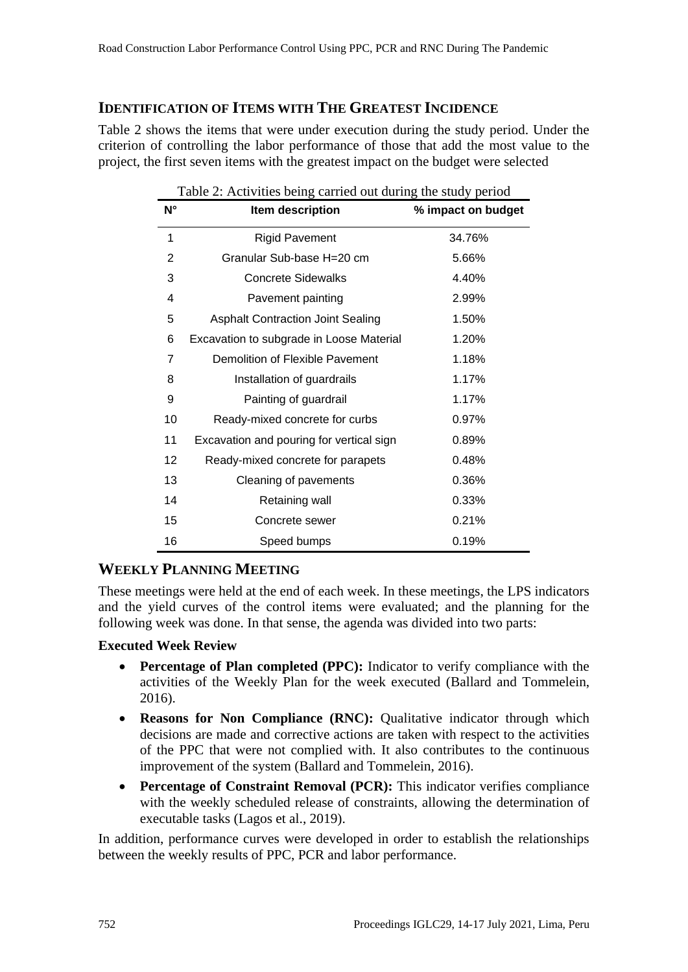#### **IDENTIFICATION OF ITEMS WITH THE GREATEST INCIDENCE**

Table 2 shows the items that were under execution during the study period. Under the criterion of controlling the labor performance of those that add the most value to the project, the first seven items with the greatest impact on the budget were selected

| N°             | Item description                         | % impact on budget |  |  |
|----------------|------------------------------------------|--------------------|--|--|
| 1              | <b>Rigid Pavement</b>                    | 34.76%             |  |  |
| $\overline{2}$ | Granular Sub-base H=20 cm                | 5.66%              |  |  |
| 3              | <b>Concrete Sidewalks</b>                | 4.40%              |  |  |
| 4              | Pavement painting                        | 2.99%              |  |  |
| 5              | <b>Asphalt Contraction Joint Sealing</b> | 1.50%              |  |  |
| 6              | Excavation to subgrade in Loose Material | 1.20%              |  |  |
| 7              | Demolition of Flexible Pavement          | 1.18%              |  |  |
| 8              | Installation of guardrails               | 1.17%              |  |  |
| 9              | Painting of guardrail                    | 1.17%              |  |  |
| 10             | Ready-mixed concrete for curbs           | 0.97%              |  |  |
| 11             | Excavation and pouring for vertical sign | 0.89%              |  |  |
| 12             | Ready-mixed concrete for parapets        | 0.48%              |  |  |
| 13             | Cleaning of pavements                    | 0.36%              |  |  |
| 14             | Retaining wall                           | 0.33%              |  |  |
| 15             | Concrete sewer                           | 0.21%              |  |  |
| 16             | Speed bumps                              | 0.19%              |  |  |

Table 2: Activities being carried out during the study period

#### **WEEKLY PLANNING MEETING**

These meetings were held at the end of each week. In these meetings, the LPS indicators and the yield curves of the control items were evaluated; and the planning for the following week was done. In that sense, the agenda was divided into two parts:

#### **Executed Week Review**

- **Percentage of Plan completed (PPC):** Indicator to verify compliance with the activities of the Weekly Plan for the week executed (Ballard and Tommelein, 2016).
- **Reasons for Non Compliance (RNC):** Oualitative indicator through which decisions are made and corrective actions are taken with respect to the activities of the PPC that were not complied with. It also contributes to the continuous improvement of the system (Ballard and Tommelein, 2016).
- **Percentage of Constraint Removal (PCR):** This indicator verifies compliance with the weekly scheduled release of constraints, allowing the determination of executable tasks (Lagos et al., 2019).

In addition, performance curves were developed in order to establish the relationships between the weekly results of PPC, PCR and labor performance.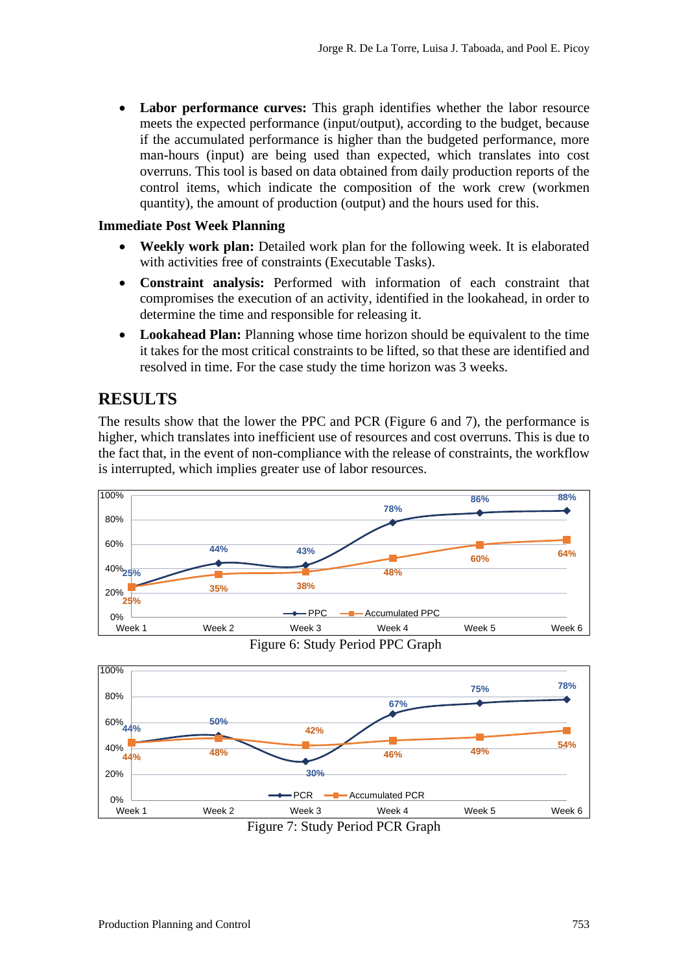Labor performance curves: This graph identifies whether the labor resource meets the expected performance (input/output), according to the budget, because if the accumulated performance is higher than the budgeted performance, more man-hours (input) are being used than expected, which translates into cost overruns. This tool is based on data obtained from daily production reports of the control items, which indicate the composition of the work crew (workmen quantity), the amount of production (output) and the hours used for this.

#### **Immediate Post Week Planning**

- **Weekly work plan:** Detailed work plan for the following week. It is elaborated with activities free of constraints (Executable Tasks).
- **Constraint analysis:** Performed with information of each constraint that compromises the execution of an activity, identified in the lookahead, in order to determine the time and responsible for releasing it.
- **Lookahead Plan:** Planning whose time horizon should be equivalent to the time it takes for the most critical constraints to be lifted, so that these are identified and resolved in time. For the case study the time horizon was 3 weeks.

#### **RESULTS**

The results show that the lower the PPC and PCR (Figure 6 and 7), the performance is higher, which translates into inefficient use of resources and cost overruns. This is due to the fact that, in the event of non-compliance with the release of constraints, the workflow is interrupted, which implies greater use of labor resources.



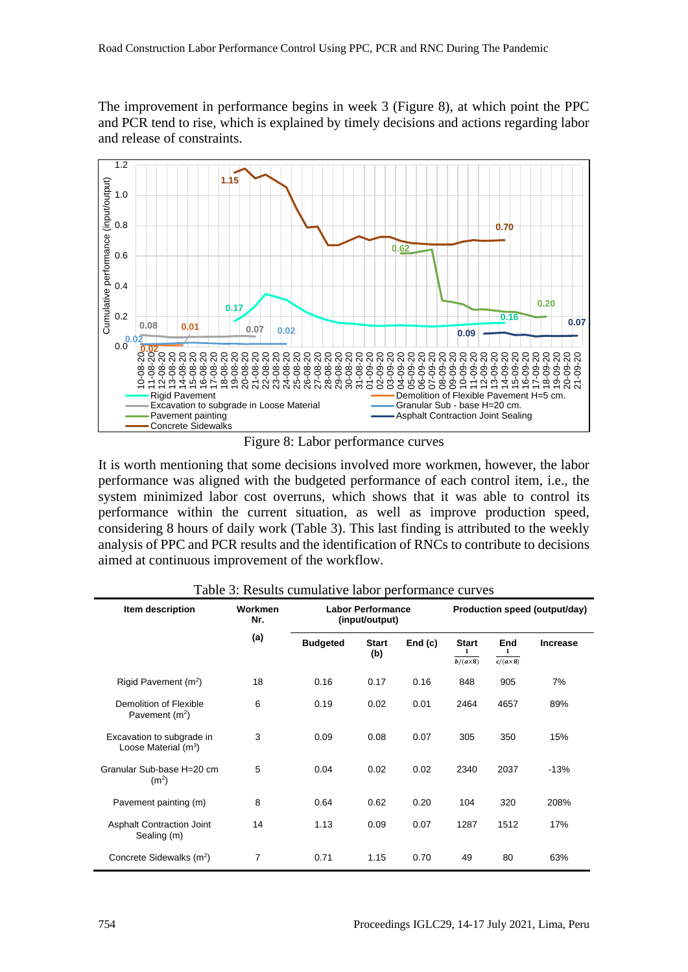The improvement in performance begins in week 3 (Figure 8), at which point the PPC and PCR tend to rise, which is explained by timely decisions and actions regarding labor and release of constraints.



Figure 8: Labor performance curves

It is worth mentioning that some decisions involved more workmen, however, the labor performance was aligned with the budgeted performance of each control item, i.e., the system minimized labor cost overruns, which shows that it was able to control its performance within the current situation, as well as improve production speed, considering 8 hours of daily work (Table 3). This last finding is attributed to the weekly analysis of PPC and PCR results and the identification of RNCs to contribute to decisions aimed at continuous improvement of the workflow.

| Item description                                    | Workmen<br>Nr. | <b>Labor Performance</b><br>(input/output) |                     |        | Production speed (output/day)        |                             |                 |
|-----------------------------------------------------|----------------|--------------------------------------------|---------------------|--------|--------------------------------------|-----------------------------|-----------------|
|                                                     | (a)            | <b>Budgeted</b>                            | <b>Start</b><br>(b) | End(c) | <b>Start</b><br>1<br>$b/(a\times 8)$ | End<br>1<br>$c/(a\times 8)$ | <b>Increase</b> |
| Rigid Pavement (m <sup>2</sup> )                    | 18             | 0.16                                       | 0.17                | 0.16   | 848                                  | 905                         | 7%              |
| Demolition of Flexible<br>Pavement $(m2)$           | 6              | 0.19                                       | 0.02                | 0.01   | 2464                                 | 4657                        | 89%             |
| Excavation to subgrade in<br>Loose Material $(m^3)$ | 3              | 0.09                                       | 0.08                | 0.07   | 305                                  | 350                         | 15%             |
| Granular Sub-base H=20 cm<br>(m <sup>2</sup> )      | 5              | 0.04                                       | 0.02                | 0.02   | 2340                                 | 2037                        | $-13%$          |
| Pavement painting (m)                               | 8              | 0.64                                       | 0.62                | 0.20   | 104                                  | 320                         | 208%            |
| <b>Asphalt Contraction Joint</b><br>Sealing (m)     | 14             | 1.13                                       | 0.09                | 0.07   | 1287                                 | 1512                        | 17%             |
| Concrete Sidewalks (m <sup>2</sup> )                | 7              | 0.71                                       | 1.15                | 0.70   | 49                                   | 80                          | 63%             |

Table 3: Results cumulative labor performance curves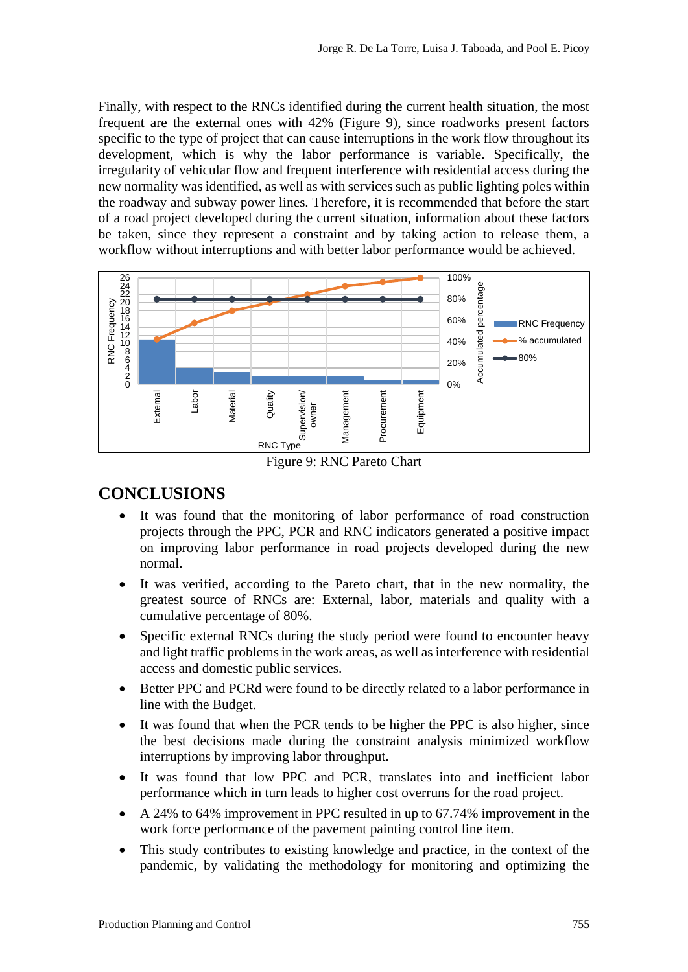Finally, with respect to the RNCs identified during the current health situation, the most frequent are the external ones with 42% (Figure 9), since roadworks present factors specific to the type of project that can cause interruptions in the work flow throughout its development, which is why the labor performance is variable. Specifically, the irregularity of vehicular flow and frequent interference with residential access during the new normality was identified, as well as with services such as public lighting poles within the roadway and subway power lines. Therefore, it is recommended that before the start of a road project developed during the current situation, information about these factors be taken, since they represent a constraint and by taking action to release them, a workflow without interruptions and with better labor performance would be achieved.



Figure 9: RNC Pareto Chart

## **CONCLUSIONS**

- It was found that the monitoring of labor performance of road construction projects through the PPC, PCR and RNC indicators generated a positive impact on improving labor performance in road projects developed during the new normal.
- It was verified, according to the Pareto chart, that in the new normality, the greatest source of RNCs are: External, labor, materials and quality with a cumulative percentage of 80%.
- Specific external RNCs during the study period were found to encounter heavy and light traffic problems in the work areas, as well as interference with residential access and domestic public services.
- Better PPC and PCRd were found to be directly related to a labor performance in line with the Budget.
- It was found that when the PCR tends to be higher the PPC is also higher, since the best decisions made during the constraint analysis minimized workflow interruptions by improving labor throughput.
- It was found that low PPC and PCR, translates into and inefficient labor performance which in turn leads to higher cost overruns for the road project.
- A 24% to 64% improvement in PPC resulted in up to 67.74% improvement in the work force performance of the pavement painting control line item.
- This study contributes to existing knowledge and practice, in the context of the pandemic, by validating the methodology for monitoring and optimizing the